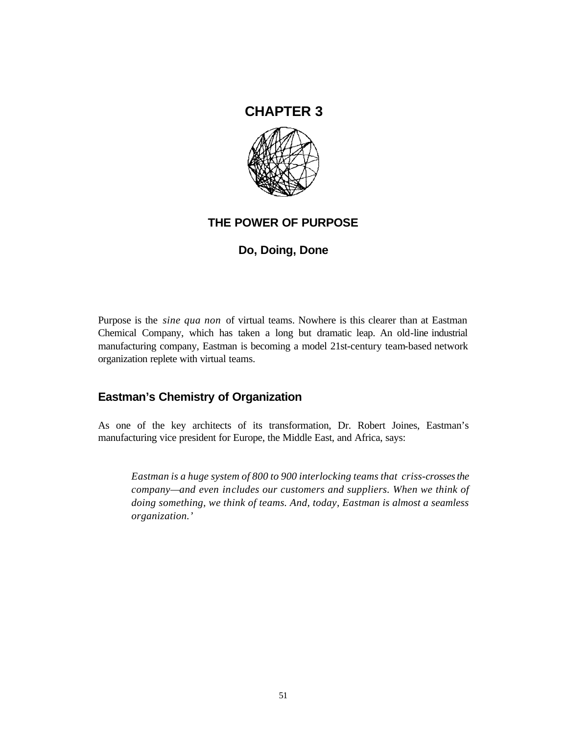# **CHAPTER 3**



## **THE POWER OF PURPOSE**

## **Do, Doing, Done**

Purpose is the *sine qua non* of virtual teams. Nowhere is this clearer than at Eastman Chemical Company, which has taken a long but dramatic leap. An old-line industrial manufacturing company, Eastman is becoming a model 21st-century team-based network organization replete with virtual teams.

## **Eastman's Chemistry of Organization**

As one of the key architects of its transformation, Dr. Robert Joines, Eastman's manufacturing vice president for Europe, the Middle East, and Africa, says:

*Eastman is a huge system of 800 to 900 interlocking teams that criss-crosses the company—and even includes our customers and suppliers. When we think of doing something, we think of teams. And, today, Eastman is almost a seamless organization.'*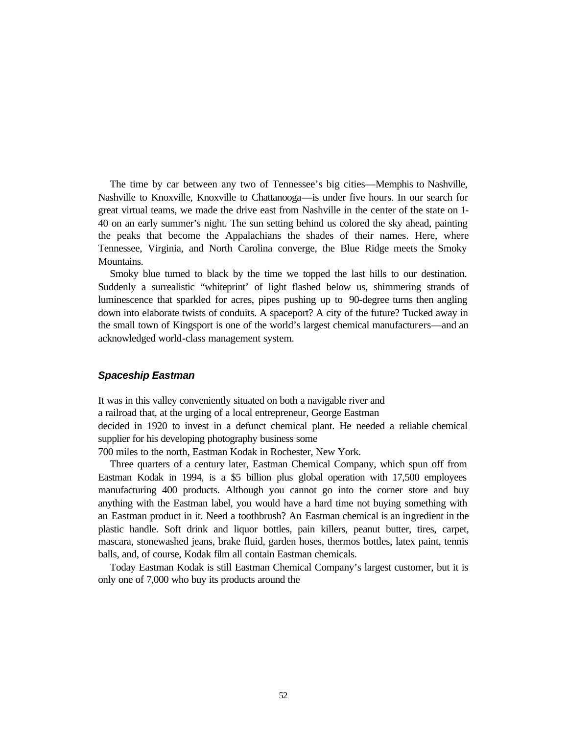The time by car between any two of Tennessee's big cities—Memphis to Nashville, Nashville to Knoxville, Knoxville to Chattanooga—is under five hours. In our search for great virtual teams, we made the drive east from Nashville in the center of the state on 1- 40 on an early summer's night. The sun setting behind us colored the sky ahead, painting the peaks that become the Appalachians the shades of their names. Here, where Tennessee, Virginia, and North Carolina converge, the Blue Ridge meets the Smoky Mountains.

Smoky blue turned to black by the time we topped the last hills to our destination. Suddenly a surrealistic "whiteprint' of light flashed below us, shimmering strands of luminescence that sparkled for acres, pipes pushing up to 90-degree turns then angling down into elaborate twists of conduits. A spaceport? A city of the future? Tucked away in the small town of Kingsport is one of the world's largest chemical manufacturers—and an acknowledged world-class management system.

#### *Spaceship Eastman*

It was in this valley conveniently situated on both a navigable river and a railroad that, at the urging of a local entrepreneur, George Eastman decided in 1920 to invest in a defunct chemical plant. He needed a reliable chemical supplier for his developing photography business some 700 miles to the north, Eastman Kodak in Rochester, New York.

Three quarters of a century later, Eastman Chemical Company, which spun off from Eastman Kodak in 1994, is a \$5 billion plus global operation with 17,500 employees manufacturing 400 products. Although you cannot go into the corner store and buy anything with the Eastman label, you would have a hard time not buying something with an Eastman product in it. Need a toothbrush? An Eastman chemical is an ingredient in the plastic handle. Soft drink and liquor bottles, pain killers, peanut butter, tires, carpet, mascara, stonewashed jeans, brake fluid, garden hoses, thermos bottles, latex paint, tennis balls, and, of course, Kodak film all contain Eastman chemicals.

Today Eastman Kodak is still Eastman Chemical Company's largest customer, but it is only one of 7,000 who buy its products around the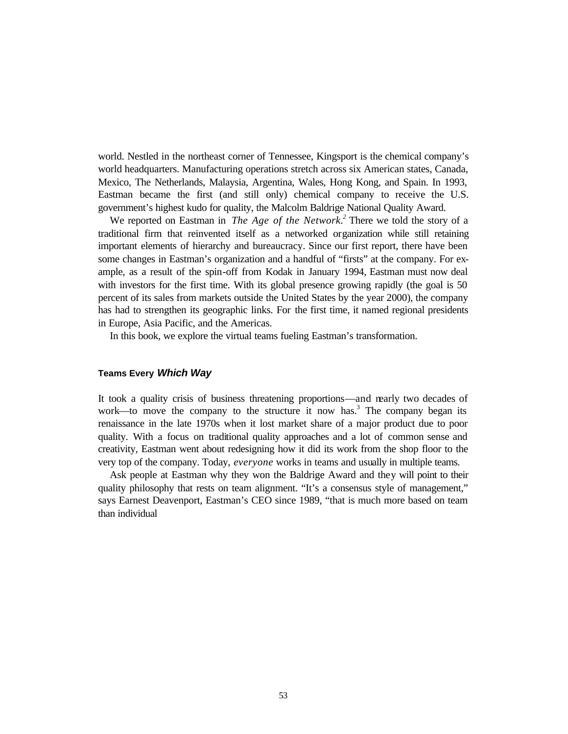world. Nestled in the northeast corner of Tennessee, Kingsport is the chemical company's world headquarters. Manufacturing operations stretch across six American states, Canada, Mexico, The Netherlands, Malaysia, Argentina, Wales, Hong Kong, and Spain. In 1993, Eastman became the first (and still only) chemical company to receive the U.S. government's highest kudo for quality, the Malcolm Baldrige National Quality Award.

We reported on Eastman in *The Age of the Network*.<sup>2</sup> There we told the story of a traditional firm that reinvented itself as a networked organization while still retaining important elements of hierarchy and bureaucracy. Since our first report, there have been some changes in Eastman's organization and a handful of "firsts" at the company. For example, as a result of the spin-off from Kodak in January 1994, Eastman must now deal with investors for the first time. With its global presence growing rapidly (the goal is 50 percent of its sales from markets outside the United States by the year 2000), the company has had to strengthen its geographic links. For the first time, it named regional presidents in Europe, Asia Pacific, and the Americas.

In this book, we explore the virtual teams fueling Eastman's transformation.

#### **Teams Every** *Which Way*

It took a quality crisis of business threatening proportions—and nearly two decades of work—to move the company to the structure it now has.<sup>3</sup> The company began its renaissance in the late 1970s when it lost market share of a major product due to poor quality. With a focus on traditional quality approaches and a lot of common sense and creativity, Eastman went about redesigning how it did its work from the shop floor to the very top of the company. Today, *everyone* works in teams and usually in multiple teams.

Ask people at Eastman why they won the Baldrige Award and they will point to their quality philosophy that rests on team alignment. "It's a consensus style of management," says Earnest Deavenport, Eastman's CEO since 1989, "that is much more based on team than individual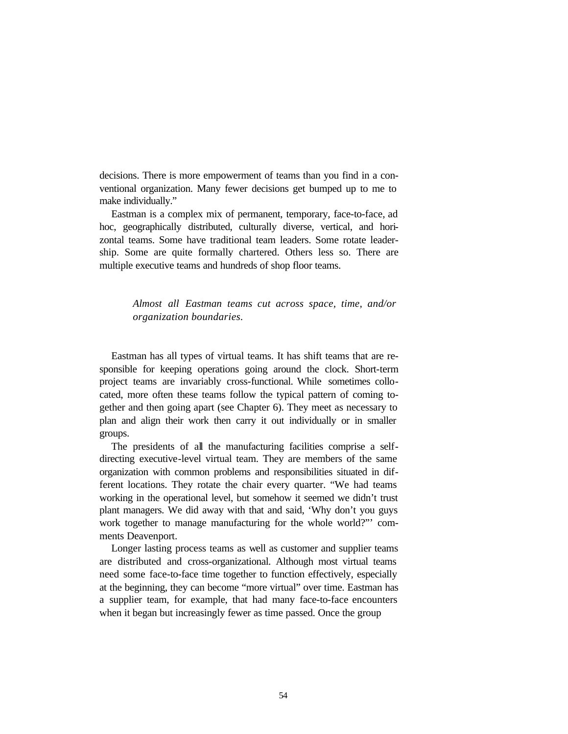decisions. There is more empowerment of teams than you find in a conventional organization. Many fewer decisions get bumped up to me to make individually."

Eastman is a complex mix of permanent, temporary, face-to-face, ad hoc, geographically distributed, culturally diverse, vertical, and horizontal teams. Some have traditional team leaders. Some rotate leadership. Some are quite formally chartered. Others less so. There are multiple executive teams and hundreds of shop floor teams.

> *Almost all Eastman teams cut across space, time, and/or organization boundaries.*

Eastman has all types of virtual teams. It has shift teams that are responsible for keeping operations going around the clock. Short-term project teams are invariably cross-functional. While sometimes collocated, more often these teams follow the typical pattern of coming together and then going apart (see Chapter 6). They meet as necessary to plan and align their work then carry it out individually or in smaller groups.

The presidents of all the manufacturing facilities comprise a selfdirecting executive-level virtual team. They are members of the same organization with common problems and responsibilities situated in different locations. They rotate the chair every quarter. "We had teams working in the operational level, but somehow it seemed we didn't trust plant managers. We did away with that and said, 'Why don't you guys work together to manage manufacturing for the whole world?"' comments Deavenport.

Longer lasting process teams as well as customer and supplier teams are distributed and cross-organizational. Although most virtual teams need some face-to-face time together to function effectively, especially at the beginning, they can become "more virtual" over time. Eastman has a supplier team, for example, that had many face-to-face encounters when it began but increasingly fewer as time passed. Once the group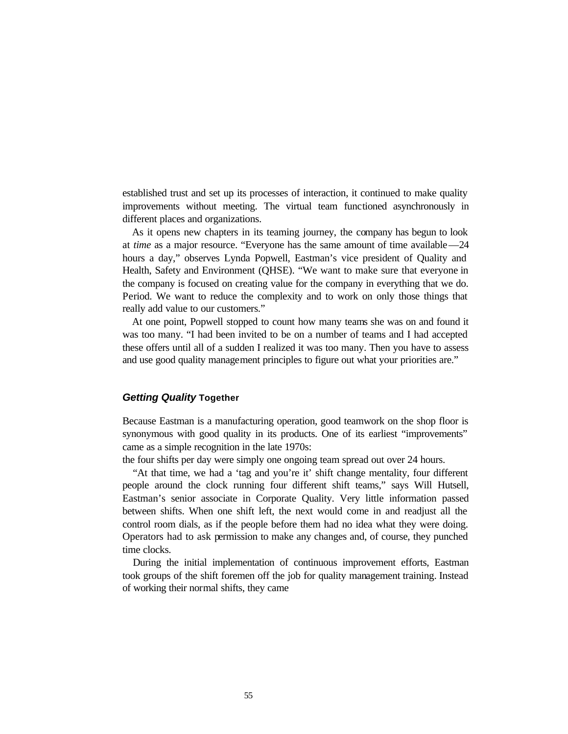established trust and set up its processes of interaction, it continued to make quality improvements without meeting. The virtual team functioned asynchronously in different places and organizations.

As it opens new chapters in its teaming journey, the company has begun to look at *time* as a major resource. "Everyone has the same amount of time available—24 hours a day," observes Lynda Popwell, Eastman's vice president of Quality and Health, Safety and Environment (QHSE). "We want to make sure that everyone in the company is focused on creating value for the company in everything that we do. Period. We want to reduce the complexity and to work on only those things that really add value to our customers."

At one point, Popwell stopped to count how many teams she was on and found it was too many. "I had been invited to be on a number of teams and I had accepted these offers until all of a sudden I realized it was too many. Then you have to assess and use good quality management principles to figure out what your priorities are."

### *Getting Quality* **Together**

Because Eastman is a manufacturing operation, good teamwork on the shop floor is synonymous with good quality in its products. One of its earliest "improvements" came as a simple recognition in the late 1970s:

the four shifts per day were simply one ongoing team spread out over 24 hours.

"At that time, we had a 'tag and you're it' shift change mentality, four different people around the clock running four different shift teams," says Will Hutsell, Eastman's senior associate in Corporate Quality. Very little information passed between shifts. When one shift left, the next would come in and readjust all the control room dials, as if the people before them had no idea what they were doing. Operators had to ask permission to make any changes and, of course, they punched time clocks.

During the initial implementation of continuous improvement efforts, Eastman took groups of the shift foremen off the job for quality management training. Instead of working their normal shifts, they came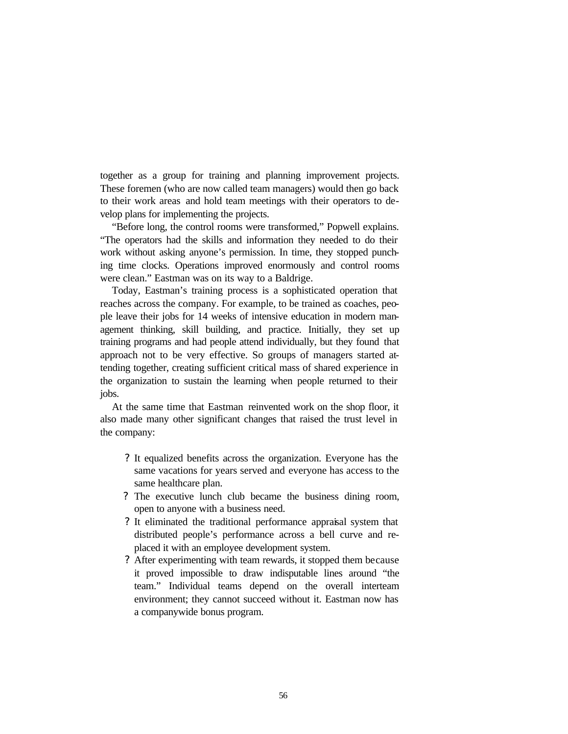together as a group for training and planning improvement projects. These foremen (who are now called team managers) would then go back to their work areas and hold team meetings with their operators to develop plans for implementing the projects.

"Before long, the control rooms were transformed," Popwell explains. "The operators had the skills and information they needed to do their work without asking anyone's permission. In time, they stopped punching time clocks. Operations improved enormously and control rooms were clean." Eastman was on its way to a Baldrige.

Today, Eastman's training process is a sophisticated operation that reaches across the company. For example, to be trained as coaches, people leave their jobs for 14 weeks of intensive education in modern management thinking, skill building, and practice. Initially, they set up training programs and had people attend individually, but they found that approach not to be very effective. So groups of managers started attending together, creating sufficient critical mass of shared experience in the organization to sustain the learning when people returned to their jobs.

At the same time that Eastman reinvented work on the shop floor, it also made many other significant changes that raised the trust level in the company:

- ? It equalized benefits across the organization. Everyone has the same vacations for years served and everyone has access to the same healthcare plan.
- ? The executive lunch club became the business dining room, open to anyone with a business need.
- ? It eliminated the traditional performance appraisal system that distributed people's performance across a bell curve and replaced it with an employee development system.
- ? After experimenting with team rewards, it stopped them because it proved impossible to draw indisputable lines around "the team." Individual teams depend on the overall interteam environment; they cannot succeed without it. Eastman now has a companywide bonus program.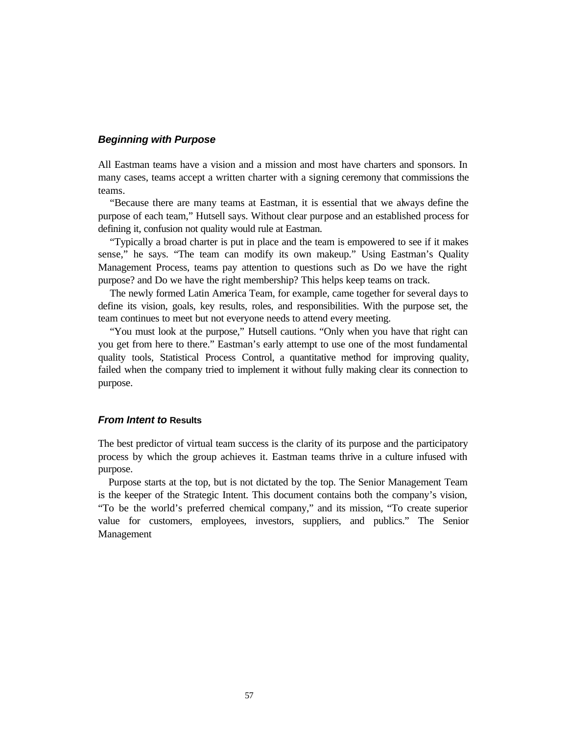#### *Beginning with Purpose*

All Eastman teams have a vision and a mission and most have charters and sponsors. In many cases, teams accept a written charter with a signing ceremony that commissions the teams.

"Because there are many teams at Eastman, it is essential that we always define the purpose of each team," Hutsell says. Without clear purpose and an established process for defining it, confusion not quality would rule at Eastman.

"Typically a broad charter is put in place and the team is empowered to see if it makes sense," he says. "The team can modify its own makeup." Using Eastman's Quality Management Process, teams pay attention to questions such as Do we have the right purpose? and Do we have the right membership? This helps keep teams on track.

The newly formed Latin America Team, for example, came together for several days to define its vision, goals, key results, roles, and responsibilities. With the purpose set, the team continues to meet but not everyone needs to attend every meeting.

"You must look at the purpose," Hutsell cautions. "Only when you have that right can you get from here to there." Eastman's early attempt to use one of the most fundamental quality tools, Statistical Process Control, a quantitative method for improving quality, failed when the company tried to implement it without fully making clear its connection to purpose.

### *From Intent to* **Results**

The best predictor of virtual team success is the clarity of its purpose and the participatory process by which the group achieves it. Eastman teams thrive in a culture infused with purpose.

Purpose starts at the top, but is not dictated by the top. The Senior Management Team is the keeper of the Strategic Intent. This document contains both the company's vision, "To be the world's preferred chemical company," and its mission, "To create superior value for customers, employees, investors, suppliers, and publics." The Senior Management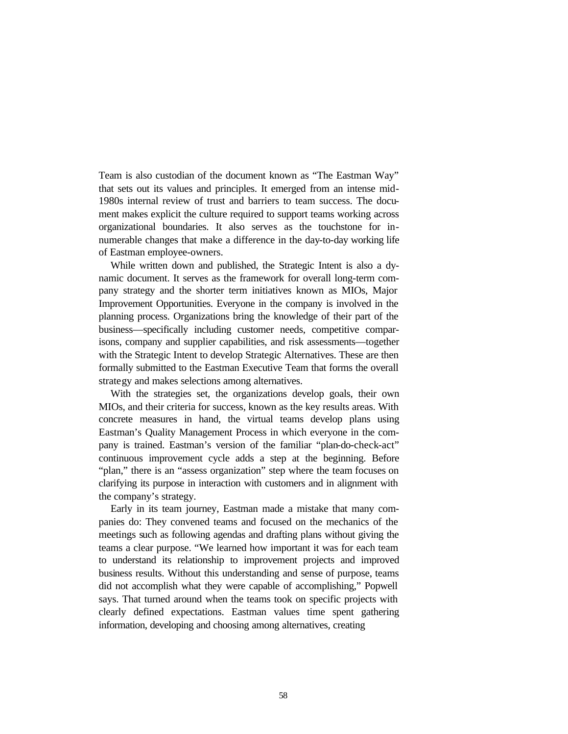Team is also custodian of the document known as "The Eastman Way" that sets out its values and principles. It emerged from an intense mid-1980s internal review of trust and barriers to team success. The document makes explicit the culture required to support teams working across organizational boundaries. It also serves as the touchstone for innumerable changes that make a difference in the day-to-day working life of Eastman employee-owners.

While written down and published, the Strategic Intent is also a dynamic document. It serves as the framework for overall long-term company strategy and the shorter term initiatives known as MIOs, Major Improvement Opportunities. Everyone in the company is involved in the planning process. Organizations bring the knowledge of their part of the business—specifically including customer needs, competitive comparisons, company and supplier capabilities, and risk assessments—together with the Strategic Intent to develop Strategic Alternatives. These are then formally submitted to the Eastman Executive Team that forms the overall strategy and makes selections among alternatives.

With the strategies set, the organizations develop goals, their own MIOs, and their criteria for success, known as the key results areas. With concrete measures in hand, the virtual teams develop plans using Eastman's Quality Management Process in which everyone in the company is trained. Eastman's version of the familiar "plan-do-check-act" continuous improvement cycle adds a step at the beginning. Before "plan," there is an "assess organization" step where the team focuses on clarifying its purpose in interaction with customers and in alignment with the company's strategy.

Early in its team journey, Eastman made a mistake that many companies do: They convened teams and focused on the mechanics of the meetings such as following agendas and drafting plans without giving the teams a clear purpose. "We learned how important it was for each team to understand its relationship to improvement projects and improved business results. Without this understanding and sense of purpose, teams did not accomplish what they were capable of accomplishing," Popwell says. That turned around when the teams took on specific projects with clearly defined expectations. Eastman values time spent gathering information, developing and choosing among alternatives, creating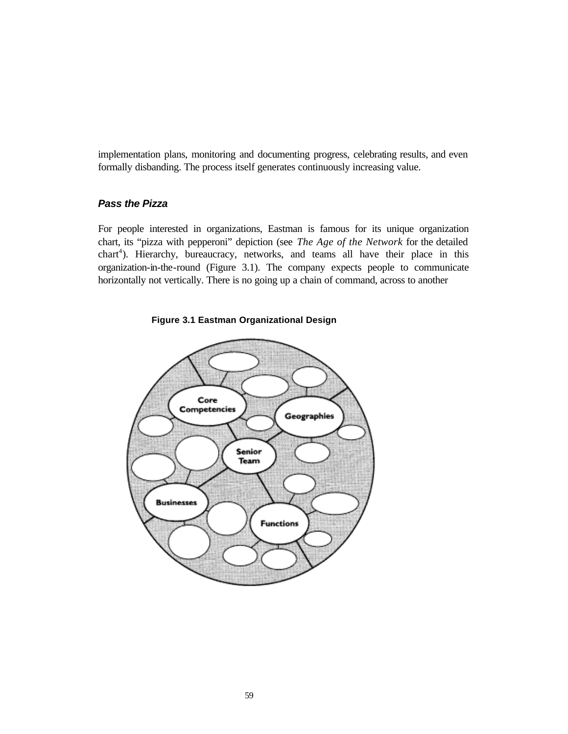implementation plans, monitoring and documenting progress, celebrating results, and even formally disbanding. The process itself generates continuously increasing value.

## *Pass the Pizza*

For people interested in organizations, Eastman is famous for its unique organization chart, its "pizza with pepperoni" depiction (see *The Age of the Network* for the detailed chart<sup>4</sup>). Hierarchy, bureaucracy, networks, and teams all have their place in this organization-in-the-round (Figure 3.1). The company expects people to communicate horizontally not vertically. There is no going up a chain of command, across to another



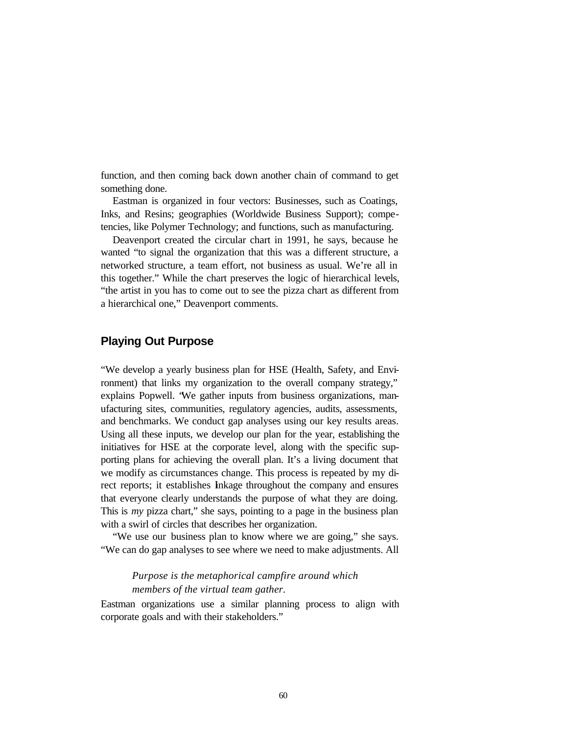function, and then coming back down another chain of command to get something done.

Eastman is organized in four vectors: Businesses, such as Coatings, Inks, and Resins; geographies (Worldwide Business Support); competencies, like Polymer Technology; and functions, such as manufacturing.

Deavenport created the circular chart in 1991, he says, because he wanted "to signal the organization that this was a different structure, a networked structure, a team effort, not business as usual. We're all in this together." While the chart preserves the logic of hierarchical levels, "the artist in you has to come out to see the pizza chart as different from a hierarchical one," Deavenport comments.

## **Playing Out Purpose**

"We develop a yearly business plan for HSE (Health, Safety, and Environment) that links my organization to the overall company strategy," explains Popwell. "We gather inputs from business organizations, manufacturing sites, communities, regulatory agencies, audits, assessments, and benchmarks. We conduct gap analyses using our key results areas. Using all these inputs, we develop our plan for the year, establishing the initiatives for HSE at the corporate level, along with the specific supporting plans for achieving the overall plan. It's a living document that we modify as circumstances change. This process is repeated by my direct reports; it establishes linkage throughout the company and ensures that everyone clearly understands the purpose of what they are doing. This is *my* pizza chart," she says, pointing to a page in the business plan with a swirl of circles that describes her organization.

"We use our business plan to know where we are going," she says. "We can do gap analyses to see where we need to make adjustments. All

> *Purpose is the metaphorical campfire around which members of the virtual team gather.*

Eastman organizations use a similar planning process to align with corporate goals and with their stakeholders."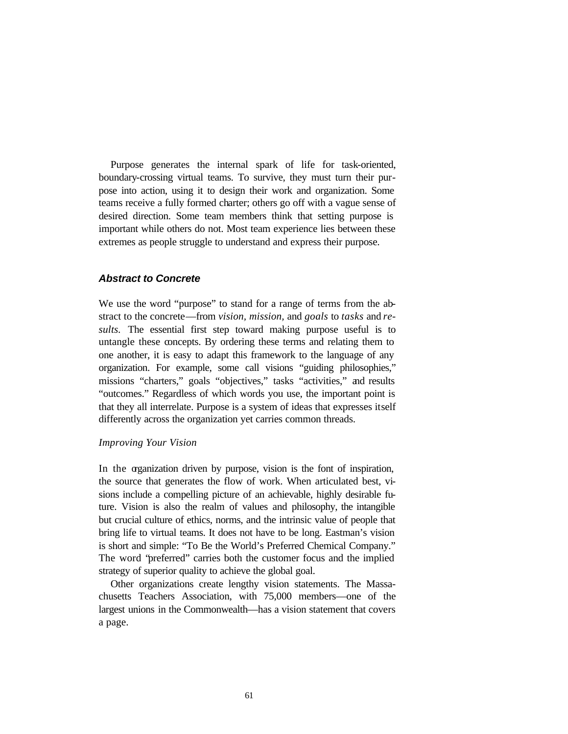Purpose generates the internal spark of life for task-oriented, boundary-crossing virtual teams. To survive, they must turn their purpose into action, using it to design their work and organization. Some teams receive a fully formed charter; others go off with a vague sense of desired direction. Some team members think that setting purpose is important while others do not. Most team experience lies between these extremes as people struggle to understand and express their purpose.

#### *Abstract to Concrete*

We use the word "purpose" to stand for a range of terms from the abstract to the concrete—from *vision, mission,* and *goals* to *tasks* and *results.* The essential first step toward making purpose useful is to untangle these concepts. By ordering these terms and relating them to one another, it is easy to adapt this framework to the language of any organization. For example, some call visions "guiding philosophies," missions "charters," goals "objectives," tasks "activities," and results "outcomes." Regardless of which words you use, the important point is that they all interrelate. Purpose is a system of ideas that expresses itself differently across the organization yet carries common threads.

#### *Improving Your Vision*

In the organization driven by purpose, vision is the font of inspiration, the source that generates the flow of work. When articulated best, visions include a compelling picture of an achievable, highly desirable future. Vision is also the realm of values and philosophy, the intangible but crucial culture of ethics, norms, and the intrinsic value of people that bring life to virtual teams. It does not have to be long. Eastman's vision is short and simple: "To Be the World's Preferred Chemical Company." The word "preferred" carries both the customer focus and the implied strategy of superior quality to achieve the global goal.

Other organizations create lengthy vision statements. The Massachusetts Teachers Association, with 75,000 members—one of the largest unions in the Commonwealth—has a vision statement that covers a page.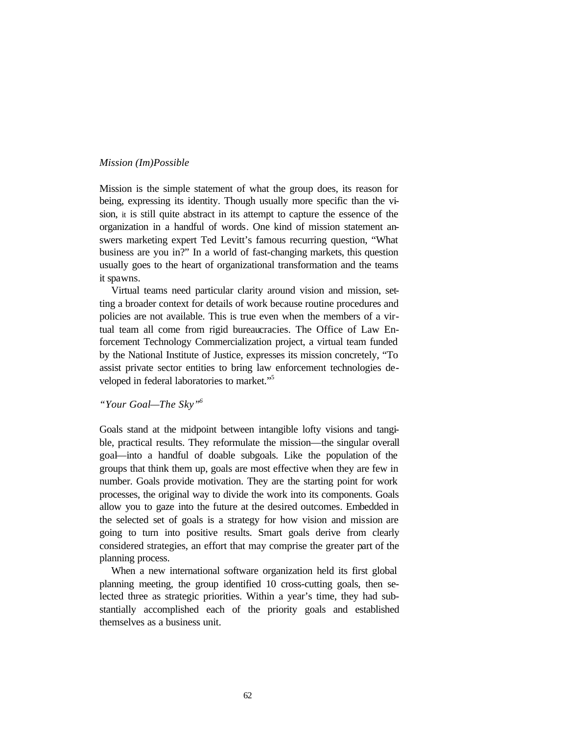#### *Mission (Im)Possible*

Mission is the simple statement of what the group does, its reason for being, expressing its identity. Though usually more specific than the vision, it is still quite abstract in its attempt to capture the essence of the organization in a handful of words. One kind of mission statement answers marketing expert Ted Levitt's famous recurring question, "What business are you in?" In a world of fast-changing markets, this question usually goes to the heart of organizational transformation and the teams it spawns.

Virtual teams need particular clarity around vision and mission, setting a broader context for details of work because routine procedures and policies are not available. This is true even when the members of a virtual team all come from rigid bureaucracies. The Office of Law Enforcement Technology Commercialization project, a virtual team funded by the National Institute of Justice, expresses its mission concretely, "To assist private sector entities to bring law enforcement technologies developed in federal laboratories to market."<sup>5</sup>

#### *"Your Goal—The Sky"<sup>6</sup>*

Goals stand at the midpoint between intangible lofty visions and tangible, practical results. They reformulate the mission—the singular overall goal—into a handful of doable subgoals. Like the population of the groups that think them up, goals are most effective when they are few in number. Goals provide motivation. They are the starting point for work processes, the original way to divide the work into its components. Goals allow you to gaze into the future at the desired outcomes. Embedded in the selected set of goals is a strategy for how vision and mission are going to turn into positive results. Smart goals derive from clearly considered strategies, an effort that may comprise the greater part of the planning process.

When a new international software organization held its first global planning meeting, the group identified 10 cross-cutting goals, then selected three as strategic priorities. Within a year's time, they had substantially accomplished each of the priority goals and established themselves as a business unit.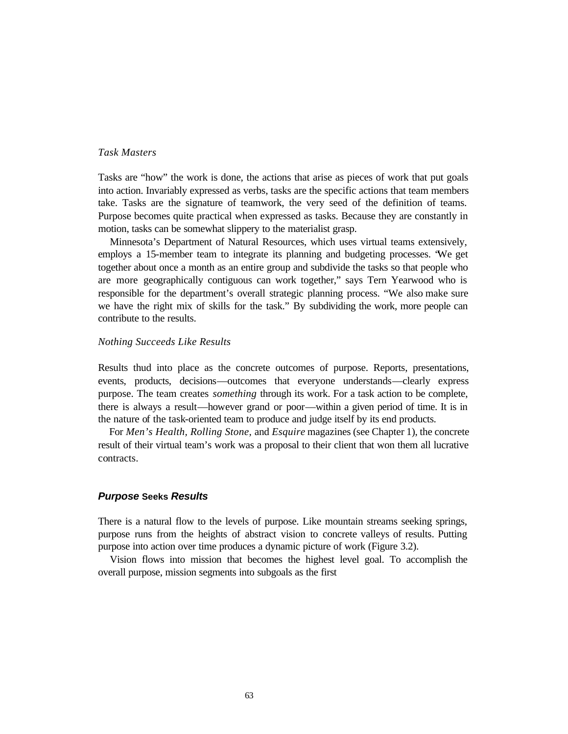### *Task Masters*

Tasks are "how" the work is done, the actions that arise as pieces of work that put goals into action. Invariably expressed as verbs, tasks are the specific actions that team members take. Tasks are the signature of teamwork, the very seed of the definition of teams. Purpose becomes quite practical when expressed as tasks. Because they are constantly in motion, tasks can be somewhat slippery to the materialist grasp.

Minnesota's Department of Natural Resources, which uses virtual teams extensively, employs a 15-member team to integrate its planning and budgeting processes. "We get together about once a month as an entire group and subdivide the tasks so that people who are more geographically contiguous can work together," says Tern Yearwood who is responsible for the department's overall strategic planning process. "We also make sure we have the right mix of skills for the task." By subdividing the work, more people can contribute to the results.

#### *Nothing Succeeds Like Results*

Results thud into place as the concrete outcomes of purpose. Reports, presentations, events, products, decisions—outcomes that everyone understands—clearly express purpose. The team creates *something* through its work. For a task action to be complete, there is always a result—however grand or poor—within a given period of time. It is in the nature of the task-oriented team to produce and judge itself by its end products.

For *Men's Health, Rolling Stone,* and *Esquire* magazines (see Chapter 1), the concrete result of their virtual team's work was a proposal to their client that won them all lucrative contracts.

#### *Purpose* **Seeks** *Results*

There is a natural flow to the levels of purpose. Like mountain streams seeking springs, purpose runs from the heights of abstract vision to concrete valleys of results. Putting purpose into action over time produces a dynamic picture of work (Figure 3.2).

Vision flows into mission that becomes the highest level goal. To accomplish the overall purpose, mission segments into subgoals as the first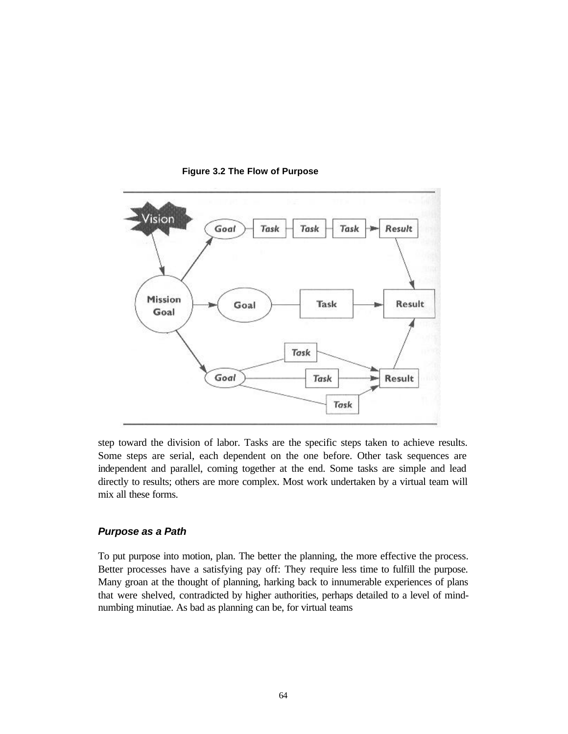

#### **Figure 3.2 The Flow of Purpose**

step toward the division of labor. Tasks are the specific steps taken to achieve results. Some steps are serial, each dependent on the one before. Other task sequences are independent and parallel, coming together at the end. Some tasks are simple and lead directly to results; others are more complex. Most work undertaken by a virtual team will mix all these forms.

### *Purpose as a Path*

To put purpose into motion, plan. The better the planning, the more effective the process. Better processes have a satisfying pay off: They require less time to fulfill the purpose. Many groan at the thought of planning, harking back to innumerable experiences of plans that were shelved, contradicted by higher authorities, perhaps detailed to a level of mindnumbing minutiae. As bad as planning can be, for virtual teams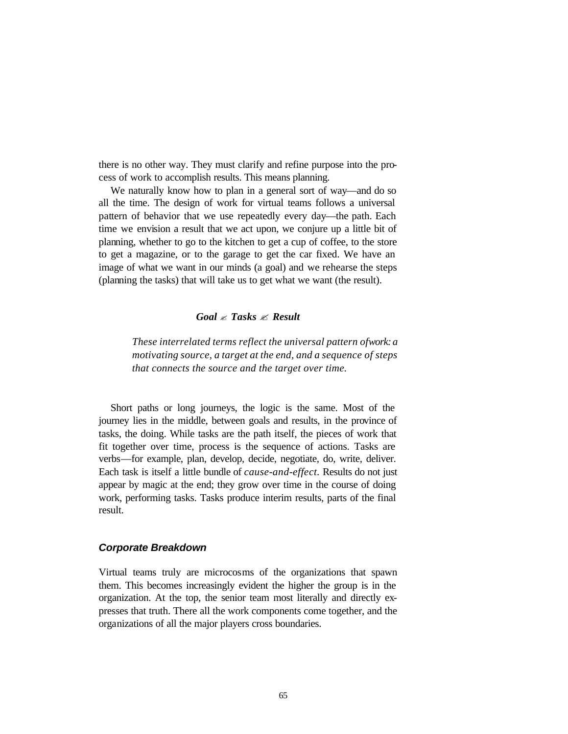there is no other way. They must clarify and refine purpose into the process of work to accomplish results. This means planning.

We naturally know how to plan in a general sort of way—and do so all the time. The design of work for virtual teams follows a universal pattern of behavior that we use repeatedly every day—the path. Each time we envision a result that we act upon, we conjure up a little bit of planning, whether to go to the kitchen to get a cup of coffee, to the store to get a magazine, or to the garage to get the car fixed. We have an image of what we want in our minds (a goal) and we rehearse the steps (planning the tasks) that will take us to get what we want (the result).

### *Goal* ? *Tasks* ? *Result*

*These interrelated terms reflect the universal pattern of work: a motivating source, a target at the end, and a sequence of steps that connects the source and the target over time.*

Short paths or long journeys, the logic is the same. Most of the journey lies in the middle, between goals and results, in the province of tasks, the doing. While tasks are the path itself, the pieces of work that fit together over time, process is the sequence of actions. Tasks are verbs—for example, plan, develop, decide, negotiate, do, write, deliver. Each task is itself a little bundle of *cause-and-effect.* Results do not just appear by magic at the end; they grow over time in the course of doing work, performing tasks. Tasks produce interim results, parts of the final result.

#### *Corporate Breakdown*

Virtual teams truly are microcosms of the organizations that spawn them. This becomes increasingly evident the higher the group is in the organization. At the top, the senior team most literally and directly expresses that truth. There all the work components come together, and the organizations of all the major players cross boundaries.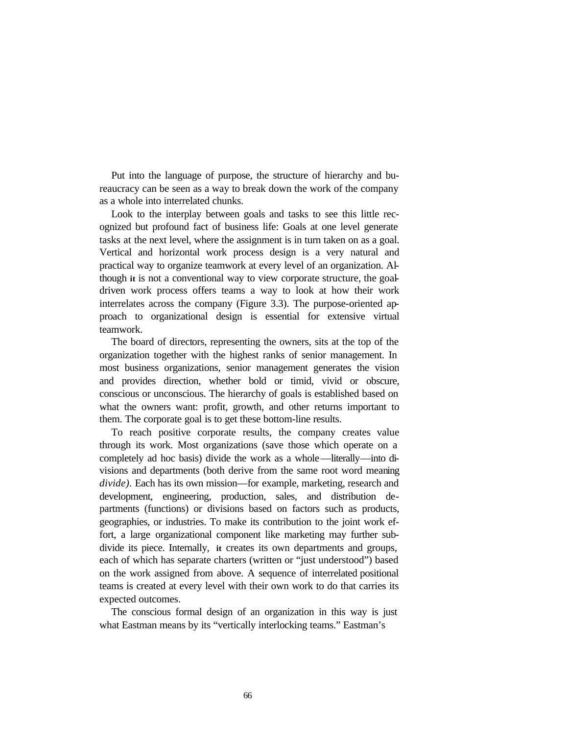Put into the language of purpose, the structure of hierarchy and bureaucracy can be seen as a way to break down the work of the company as a whole into interrelated chunks.

Look to the interplay between goals and tasks to see this little recognized but profound fact of business life: Goals at one level generate tasks at the next level, where the assignment is in turn taken on as a goal. Vertical and horizontal work process design is a very natural and practical way to organize teamwork at every level of an organization. Although **it** is not a conventional way to view corporate structure, the goaldriven work process offers teams a way to look at how their work interrelates across the company (Figure 3.3). The purpose-oriented approach to organizational design is essential for extensive virtual teamwork.

The board of directors, representing the owners, sits at the top of the organization together with the highest ranks of senior management. In most business organizations, senior management generates the vision and provides direction, whether bold or timid, vivid or obscure, conscious or unconscious. The hierarchy of goals is established based on what the owners want: profit, growth, and other returns important to them. The corporate goal is to get these bottom-line results.

To reach positive corporate results, the company creates value through its work. Most organizations (save those which operate on a completely ad hoc basis) divide the work as a whole—literally—into divisions and departments (both derive from the same root word meaning *divide).* Each has its own mission—for example, marketing, research and development, engineering, production, sales, and distribution departments (functions) or divisions based on factors such as products, geographies, or industries. To make its contribution to the joint work effort, a large organizational component like marketing may further subdivide its piece. Internally, **it** creates its own departments and groups, each of which has separate charters (written or "just understood") based on the work assigned from above. A sequence of interrelated positional teams is created at every level with their own work to do that carries its expected outcomes.

The conscious formal design of an organization in this way is just what Eastman means by its "vertically interlocking teams." Eastman's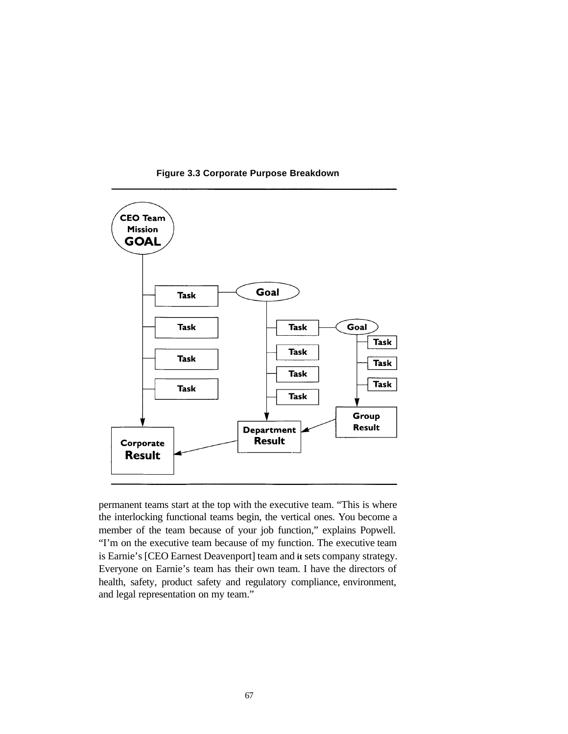

**Figure 3.3 Corporate Purpose Breakdown**

permanent teams start at the top with the executive team. "This is where the interlocking functional teams begin, the vertical ones. You become a member of the team because of your job function," explains Popwell. "I'm on the executive team because of my function. The executive team is Earnie's [CEO Earnest Deavenport] team and **it** sets company strategy. Everyone on Earnie's team has their own team. I have the directors of health, safety, product safety and regulatory compliance, environment, and legal representation on my team."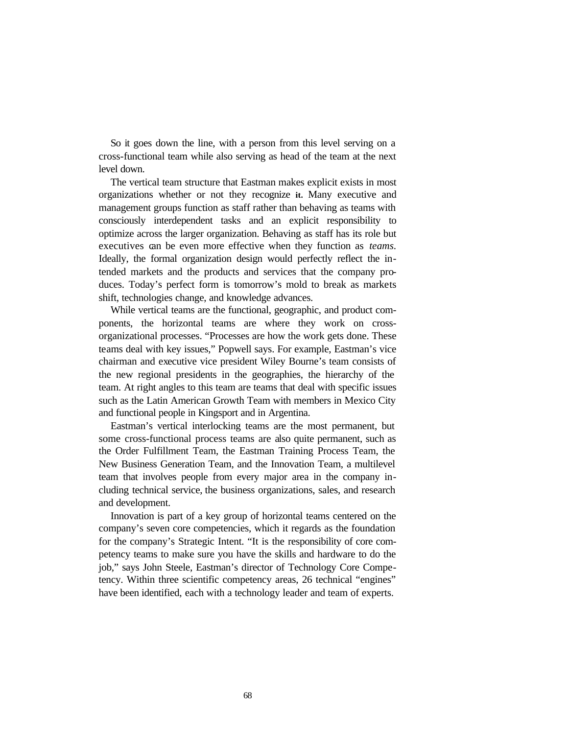So it goes down the line, with a person from this level serving on a cross-functional team while also serving as head of the team at the next level down.

The vertical team structure that Eastman makes explicit exists in most organizations whether or not they recognize **it.** Many executive and management groups function as staff rather than behaving as teams with consciously interdependent tasks and an explicit responsibility to optimize across the larger organization. Behaving as staff has its role but executives can be even more effective when they function as *teams.*  Ideally, the formal organization design would perfectly reflect the intended markets and the products and services that the company produces. Today's perfect form is tomorrow's mold to break as markets shift, technologies change, and knowledge advances.

While vertical teams are the functional, geographic, and product components, the horizontal teams are where they work on crossorganizational processes. "Processes are how the work gets done. These teams deal with key issues," Popwell says. For example, Eastman's vice chairman and executive vice president Wiley Bourne's team consists of the new regional presidents in the geographies, the hierarchy of the team. At right angles to this team are teams that deal with specific issues such as the Latin American Growth Team with members in Mexico City and functional people in Kingsport and in Argentina.

Eastman's vertical interlocking teams are the most permanent, but some cross-functional process teams are also quite permanent, such as the Order Fulfillment Team, the Eastman Training Process Team, the New Business Generation Team, and the Innovation Team, a multilevel team that involves people from every major area in the company including technical service, the business organizations, sales, and research and development.

Innovation is part of a key group of horizontal teams centered on the company's seven core competencies, which it regards as the foundation for the company's Strategic Intent. "It is the responsibility of core competency teams to make sure you have the skills and hardware to do the job," says John Steele, Eastman's director of Technology Core Competency. Within three scientific competency areas, 26 technical "engines" have been identified, each with a technology leader and team of experts.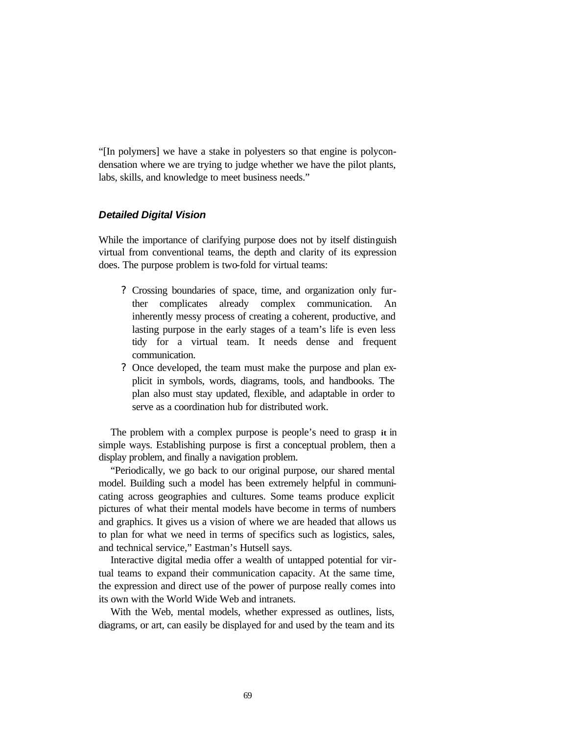"[In polymers] we have a stake in polyesters so that engine is polycondensation where we are trying to judge whether we have the pilot plants, labs, skills, and knowledge to meet business needs."

#### *Detailed Digital Vision*

While the importance of clarifying purpose does not by itself distinguish virtual from conventional teams, the depth and clarity of its expression does. The purpose problem is two-fold for virtual teams:

- ? Crossing boundaries of space, time, and organization only further complicates already complex communication. An inherently messy process of creating a coherent, productive, and lasting purpose in the early stages of a team's life is even less tidy for a virtual team. It needs dense and frequent communication.
- ? Once developed, the team must make the purpose and plan explicit in symbols, words, diagrams, tools, and handbooks. The plan also must stay updated, flexible, and adaptable in order to serve as a coordination hub for distributed work.

The problem with a complex purpose is people's need to grasp **it** in simple ways. Establishing purpose is first a conceptual problem, then a display problem, and finally a navigation problem.

"Periodically, we go back to our original purpose, our shared mental model. Building such a model has been extremely helpful in communicating across geographies and cultures. Some teams produce explicit pictures of what their mental models have become in terms of numbers and graphics. It gives us a vision of where we are headed that allows us to plan for what we need in terms of specifics such as logistics, sales, and technical service," Eastman's Hutsell says.

Interactive digital media offer a wealth of untapped potential for virtual teams to expand their communication capacity. At the same time, the expression and direct use of the power of purpose really comes into its own with the World Wide Web and intranets.

With the Web, mental models, whether expressed as outlines, lists, diagrams, or art, can easily be displayed for and used by the team and its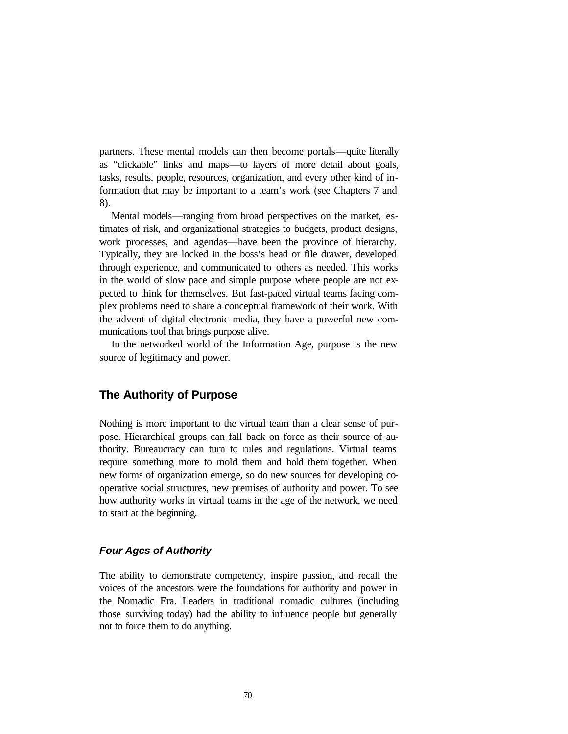partners. These mental models can then become portals—quite literally as "clickable" links and maps—to layers of more detail about goals, tasks, results, people, resources, organization, and every other kind of information that may be important to a team's work (see Chapters 7 and 8).

Mental models—ranging from broad perspectives on the market, estimates of risk, and organizational strategies to budgets, product designs, work processes, and agendas—have been the province of hierarchy. Typically, they are locked in the boss's head or file drawer, developed through experience, and communicated to others as needed. This works in the world of slow pace and simple purpose where people are not expected to think for themselves. But fast-paced virtual teams facing complex problems need to share a conceptual framework of their work. With the advent of dgital electronic media, they have a powerful new communications tool that brings purpose alive.

In the networked world of the Information Age, purpose is the new source of legitimacy and power.

## **The Authority of Purpose**

Nothing is more important to the virtual team than a clear sense of purpose. Hierarchical groups can fall back on force as their source of authority. Bureaucracy can turn to rules and regulations. Virtual teams require something more to mold them and hold them together. When new forms of organization emerge, so do new sources for developing cooperative social structures, new premises of authority and power. To see how authority works in virtual teams in the age of the network, we need to start at the beginning.

#### *Four Ages of Authority*

The ability to demonstrate competency, inspire passion, and recall the voices of the ancestors were the foundations for authority and power in the Nomadic Era. Leaders in traditional nomadic cultures (including those surviving today) had the ability to influence people but generally not to force them to do anything.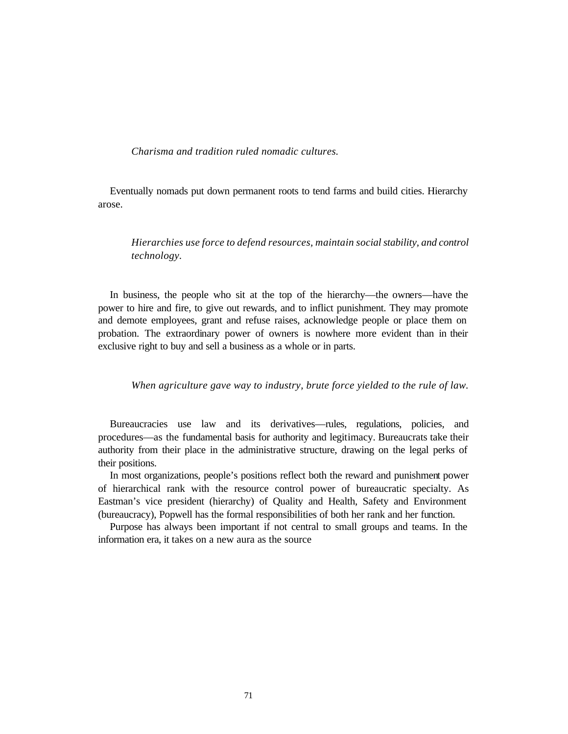#### *Charisma and tradition ruled nomadic cultures.*

Eventually nomads put down permanent roots to tend farms and build cities. Hierarchy arose.

## *Hierarchies use force to defend resources, maintain social stability, and control technology.*

In business, the people who sit at the top of the hierarchy—the owners—have the power to hire and fire, to give out rewards, and to inflict punishment. They may promote and demote employees, grant and refuse raises, acknowledge people or place them on probation. The extraordinary power of owners is nowhere more evident than in their exclusive right to buy and sell a business as a whole or in parts.

#### *When agriculture gave way to industry, brute force yielded to the rule of law.*

Bureaucracies use law and its derivatives—rules, regulations, policies, and procedures—as the fundamental basis for authority and legitimacy. Bureaucrats take their authority from their place in the administrative structure, drawing on the legal perks of their positions.

In most organizations, people's positions reflect both the reward and punishment power of hierarchical rank with the resource control power of bureaucratic specialty. As Eastman's vice president (hierarchy) of Quality and Health, Safety and Environment (bureaucracy), Popwell has the formal responsibilities of both her rank and her function.

Purpose has always been important if not central to small groups and teams. In the information era, it takes on a new aura as the source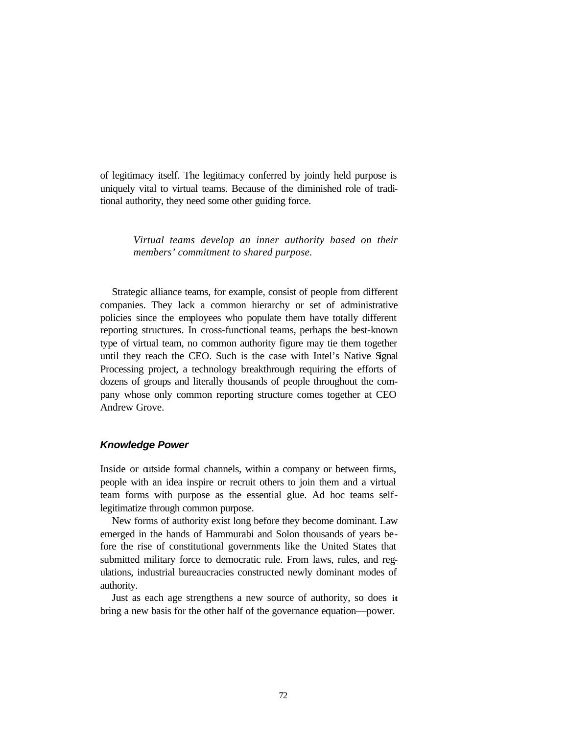of legitimacy itself. The legitimacy conferred by jointly held purpose is uniquely vital to virtual teams. Because of the diminished role of traditional authority, they need some other guiding force.

> *Virtual teams develop an inner authority based on their members' commitment to shared purpose.*

Strategic alliance teams, for example, consist of people from different companies. They lack a common hierarchy or set of administrative policies since the employees who populate them have totally different reporting structures. In cross-functional teams, perhaps the best-known type of virtual team, no common authority figure may tie them together until they reach the CEO. Such is the case with Intel's Native Signal Processing project, a technology breakthrough requiring the efforts of dozens of groups and literally thousands of people throughout the company whose only common reporting structure comes together at CEO Andrew Grove.

#### *Knowledge Power*

Inside or outside formal channels, within a company or between firms, people with an idea inspire or recruit others to join them and a virtual team forms with purpose as the essential glue. Ad hoc teams selflegitimatize through common purpose.

New forms of authority exist long before they become dominant. Law emerged in the hands of Hammurabi and Solon thousands of years before the rise of constitutional governments like the United States that submitted military force to democratic rule. From laws, rules, and regulations, industrial bureaucracies constructed newly dominant modes of authority.

Just as each age strengthens a new source of authority, so does **it**  bring a new basis for the other half of the governance equation—power.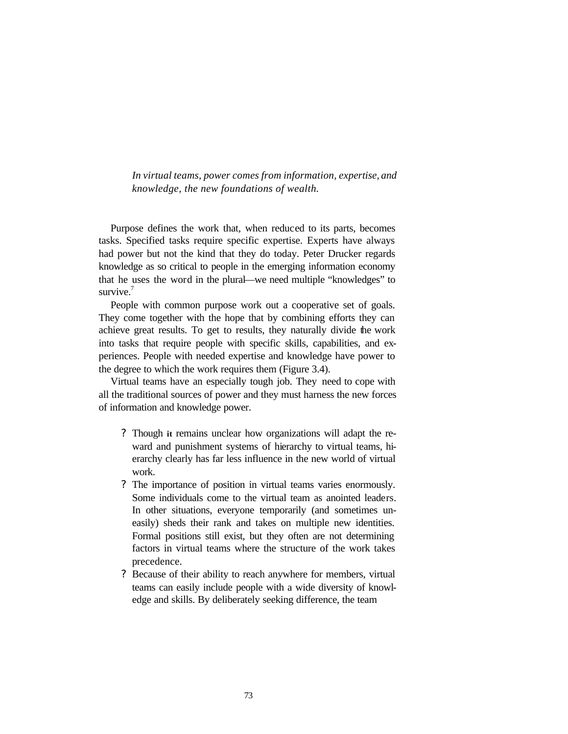*In virtual teams, power comes from information, expertise, and knowledge, the new foundations of wealth.*

Purpose defines the work that, when reduced to its parts, becomes tasks. Specified tasks require specific expertise. Experts have always had power but not the kind that they do today. Peter Drucker regards knowledge as so critical to people in the emerging information economy that he uses the word in the plural—we need multiple "knowledges" to survive.<sup>7</sup>

People with common purpose work out a cooperative set of goals. They come together with the hope that by combining efforts they can achieve great results. To get to results, they naturally divide the work into tasks that require people with specific skills, capabilities, and experiences. People with needed expertise and knowledge have power to the degree to which the work requires them (Figure 3.4).

Virtual teams have an especially tough job. They need to cope with all the traditional sources of power and they must harness the new forces of information and knowledge power.

- ? Though **it** remains unclear how organizations will adapt the reward and punishment systems of hierarchy to virtual teams, hierarchy clearly has far less influence in the new world of virtual work.
- ? The importance of position in virtual teams varies enormously. Some individuals come to the virtual team as anointed leaders. In other situations, everyone temporarily (and sometimes uneasily) sheds their rank and takes on multiple new identities. Formal positions still exist, but they often are not determining factors in virtual teams where the structure of the work takes precedence.
- ? Because of their ability to reach anywhere for members, virtual teams can easily include people with a wide diversity of knowledge and skills. By deliberately seeking difference, the team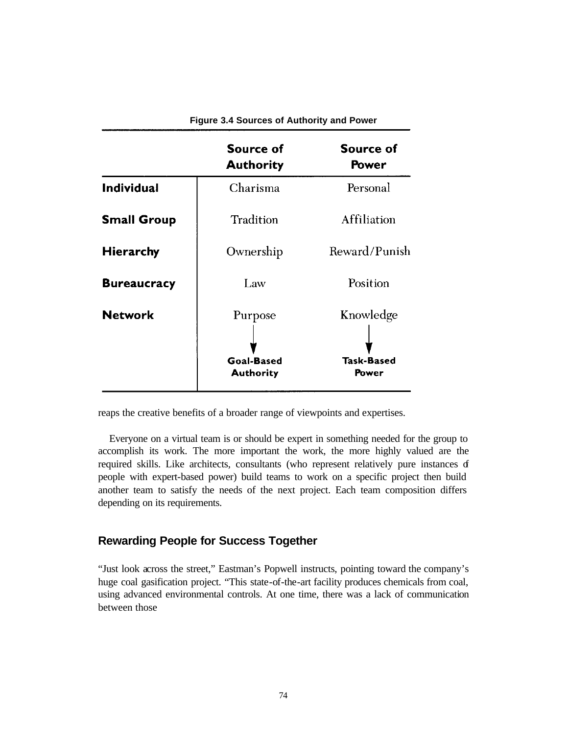|                    | Figure 3.4 Sources of Authority and Power |                                  |  |
|--------------------|-------------------------------------------|----------------------------------|--|
|                    | <b>Source of</b><br><b>Authority</b>      | <b>Source of</b><br>Power        |  |
| <b>Individual</b>  | Charisma                                  | Personal                         |  |
| <b>Small Group</b> | Tradition                                 | Affiliation                      |  |
| <b>Hierarchy</b>   | Ownership                                 | Reward/Punish                    |  |
| <b>Bureaucracy</b> | Law                                       | Position                         |  |
| <b>Network</b>     | Purpose<br>Goal-Based<br><b>Authority</b> | Knowledge<br>Task-Based<br>Power |  |

reaps the creative benefits of a broader range of viewpoints and expertises.

Everyone on a virtual team is or should be expert in something needed for the group to accomplish its work. The more important the work, the more highly valued are the required skills. Like architects, consultants (who represent relatively pure instances of people with expert-based power) build teams to work on a specific project then build another team to satisfy the needs of the next project. Each team composition differs depending on its requirements.

## **Rewarding PeopIe for Success Together**

"Just look across the street," Eastman's Popwell instructs, pointing toward the company's huge coal gasification project. "This state-of-the-art facility produces chemicals from coal, using advanced environmental controls. At one time, there was a lack of communication between those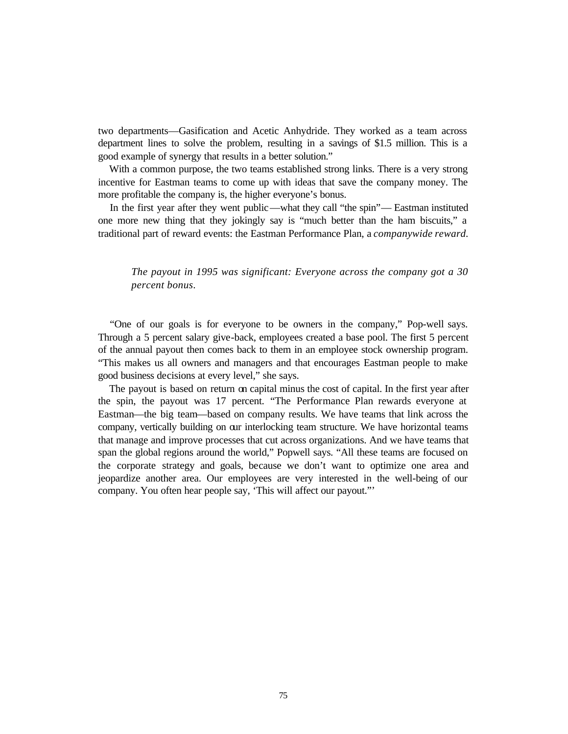two departments—Gasification and Acetic Anhydride. They worked as a team across department lines to solve the problem, resulting in a savings of \$1.5 million. This is a good example of synergy that results in a better solution."

With a common purpose, the two teams established strong links. There is a very strong incentive for Eastman teams to come up with ideas that save the company money. The more profitable the company is, the higher everyone's bonus.

In the first year after they went public—what they call "the spin"— Eastman instituted one more new thing that they jokingly say is "much better than the ham biscuits," a traditional part of reward events: the Eastman Performance Plan, a *companywide reward.*

## *The payout in 1995 was significant: Everyone across the company got a 30 percent bonus.*

"One of our goals is for everyone to be owners in the company," Pop-well says. Through a 5 percent salary give-back, employees created a base pool. The first 5 percent of the annual payout then comes back to them in an employee stock ownership program. "This makes us all owners and managers and that encourages Eastman people to make good business decisions at every level," she says.

The payout is based on return on capital minus the cost of capital. In the first year after the spin, the payout was 17 percent. "The Performance Plan rewards everyone at Eastman—the big team—based on company results. We have teams that link across the company, vertically building on our interlocking team structure. We have horizontal teams that manage and improve processes that cut across organizations. And we have teams that span the global regions around the world," Popwell says. "All these teams are focused on the corporate strategy and goals, because we don't want to optimize one area and jeopardize another area. Our employees are very interested in the well-being of our company. You often hear people say, 'This will affect our payout."'